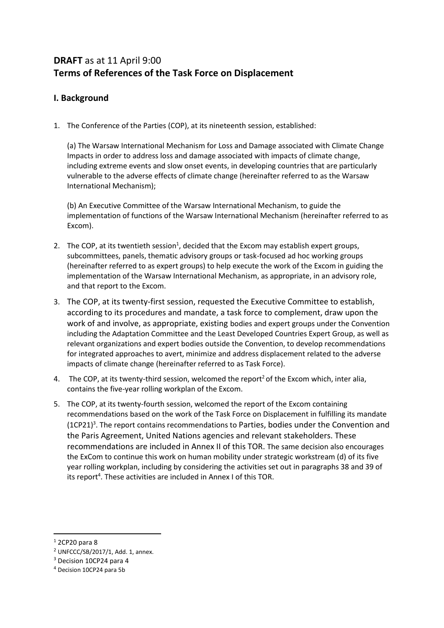# **DRAFT** as at 11 April 9:00 **Terms of References of the Task Force on Displacement**

# **I. Background**

1. The Conference of the Parties (COP), at its nineteenth session, established:

(a) The Warsaw International Mechanism for Loss and Damage associated with Climate Change Impacts in order to address loss and damage associated with impacts of climate change, including extreme events and slow onset events, in developing countries that are particularly vulnerable to the adverse effects of climate change (hereinafter referred to as the Warsaw International Mechanism);

(b) An Executive Committee of the Warsaw International Mechanism, to guide the implementation of functions of the Warsaw International Mechanism (hereinafter referred to as Excom).

- 2. The COP, at its twentieth session<sup>1</sup>, decided that the Excom may establish expert groups, subcommittees, panels, thematic advisory groups or task-focused ad hoc working groups (hereinafter referred to as expert groups) to help execute the work of the Excom in guiding the implementation of the Warsaw International Mechanism, as appropriate, in an advisory role, and that report to the Excom.
- 3. The COP, at its twenty-first session, requested the Executive Committee to establish, according to its procedures and mandate, a task force to complement, draw upon the work of and involve, as appropriate, existing bodies and expert groups under the Convention including the Adaptation Committee and the Least Developed Countries Expert Group, as well as relevant organizations and expert bodies outside the Convention, to develop recommendations for integrated approaches to avert, minimize and address displacement related to the adverse impacts of climate change (hereinafter referred to as Task Force).
- 4. The COP, at its twenty-third session, welcomed the report<sup>2</sup> of the Excom which, inter alia, contains the five-year rolling workplan of the Excom.
- 5. The COP, at its twenty-fourth session, welcomed the report of the Excom containing recommendations based on the work of the Task Force on Displacement in fulfilling its mandate (1CP21)<sup>3</sup>. The report contains recommendations to Parties, bodies under the Convention and the Paris Agreement, United Nations agencies and relevant stakeholders. These recommendations are included in Annex II of this TOR. The same decision also encourages the ExCom to continue this work on human mobility under strategic workstream (d) of its five year rolling workplan, including by considering the activities set out in paragraphs 38 and 39 of its report<sup>4</sup>. These activities are included in Annex I of this TOR.

**.** 

<sup>1</sup> 2CP20 para 8

<sup>2</sup> UNFCCC/SB/2017/1, Add. 1, annex.

<sup>3</sup> Decision 10CP24 para 4

<sup>4</sup> Decision 10CP24 para 5b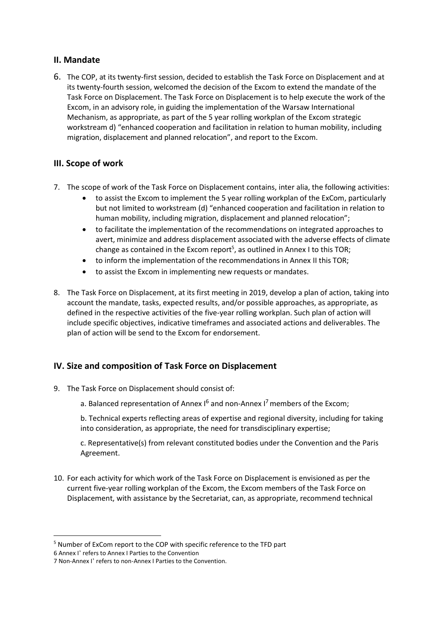## **II. Mandate**

6. The COP, at its twenty-first session, decided to establish the Task Force on Displacement and at its twenty-fourth session, welcomed the decision of the Excom to extend the mandate of the Task Force on Displacement. The Task Force on Displacement is to help execute the work of the Excom, in an advisory role, in guiding the implementation of the Warsaw International Mechanism, as appropriate, as part of the 5 year rolling workplan of the Excom strategic workstream d) "enhanced cooperation and facilitation in relation to human mobility, including migration, displacement and planned relocation", and report to the Excom.

# **III. Scope of work**

- 7. The scope of work of the Task Force on Displacement contains, inter alia, the following activities:
	- to assist the Excom to implement the 5 year rolling workplan of the ExCom, particularly but not limited to workstream (d) "enhanced cooperation and facilitation in relation to human mobility, including migration, displacement and planned relocation";
	- to facilitate the implementation of the recommendations on integrated approaches to avert, minimize and address displacement associated with the adverse effects of climate change as contained in the Excom report<sup>5</sup>, as outlined in Annex I to this TOR;
	- to inform the implementation of the recommendations in Annex II this TOR;
	- to assist the Excom in implementing new requests or mandates.
- 8. The Task Force on Displacement, at its first meeting in 2019, develop a plan of action, taking into account the mandate, tasks, expected results, and/or possible approaches, as appropriate, as defined in the respective activities of the five-year rolling workplan. Such plan of action will include specific objectives, indicative timeframes and associated actions and deliverables. The plan of action will be send to the Excom for endorsement.

# **IV. Size and composition of Task Force on Displacement**

- 9. The Task Force on Displacement should consist of:
	- a. Balanced representation of Annex  $I^6$  and non-Annex  $I^7$  members of the Excom;

b. Technical experts reflecting areas of expertise and regional diversity, including for taking into consideration, as appropriate, the need for transdisciplinary expertise;

c. Representative(s) from relevant constituted bodies under the Convention and the Paris Agreement.

10. For each activity for which work of the Task Force on Displacement is envisioned as per the current five-year rolling workplan of the Excom, the Excom members of the Task Force on Displacement, with assistance by the Secretariat, can, as appropriate, recommend technical

 $\overline{a}$ 

<sup>&</sup>lt;sup>5</sup> Number of ExCom report to the COP with specific reference to the TFD part

<sup>6</sup> Annex I' refers to Annex I Parties to the Convention

<sup>7</sup> Non-Annex I' refers to non-Annex I Parties to the Convention.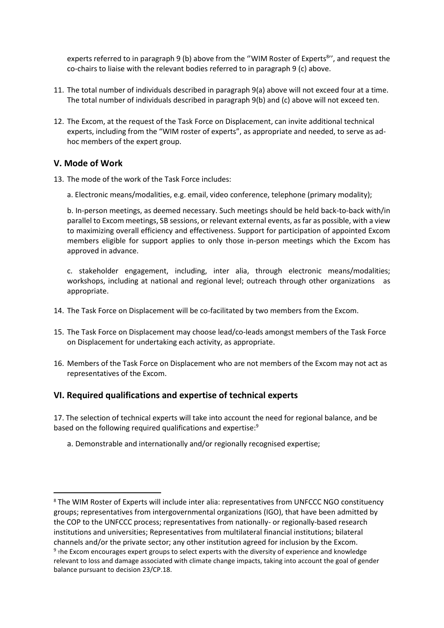experts referred to in paragraph 9 (b) above from the "WIM Roster of Experts<sup>8</sup>", and request the co-chairs to liaise with the relevant bodies referred to in paragraph 9 (c) above.

- 11. The total number of individuals described in paragraph 9(a) above will not exceed four at a time. The total number of individuals described in paragraph 9(b) and (c) above will not exceed ten.
- 12. The Excom, at the request of the Task Force on Displacement, can invite additional technical experts, including from the "WIM roster of experts", as appropriate and needed, to serve as adhoc members of the expert group.

#### **V. Mode of Work**

 $\overline{a}$ 

- 13. The mode of the work of the Task Force includes:
	- a. Electronic means/modalities, e.g. email, video conference, telephone (primary modality);

b. In‐person meetings, as deemed necessary. Such meetings should be held back-to-back with/in parallel to Excom meetings, SB sessions, or relevant external events, as far as possible, with a view to maximizing overall efficiency and effectiveness. Support for participation of appointed Excom members eligible for support applies to only those in-person meetings which the Excom has approved in advance.

c. stakeholder engagement, including, inter alia, through electronic means/modalities; workshops, including at national and regional level; outreach through other organizations as appropriate.

- 14. The Task Force on Displacement will be co-facilitated by two members from the Excom.
- 15. The Task Force on Displacement may choose lead/co-leads amongst members of the Task Force on Displacement for undertaking each activity, as appropriate.
- 16. Members of the Task Force on Displacement who are not members of the Excom may not act as representatives of the Excom.

#### **VI. Required qualifications and expertise of technical experts**

17. The selection of technical experts will take into account the need for regional balance, and be based on the following required qualifications and expertise:<sup>9</sup>

a. Demonstrable and internationally and/or regionally recognised expertise;

<sup>8</sup> The WIM Roster of Experts will include inter alia: representatives from UNFCCC NGO constituency groups; representatives from intergovernmental organizations (IGO), that have been admitted by the COP to the UNFCCC process; representatives from nationally- or regionally-based research institutions and universities; Representatives from multilateral financial institutions; bilateral channels and/or the private sector; any other institution agreed for inclusion by the Excom.

 $9$  <sub>T</sub>he Excom encourages expert groups to select experts with the diversity of experience and knowledge relevant to loss and damage associated with climate change impacts, taking into account the goal of gender balance pursuant to decision 23/CP.18.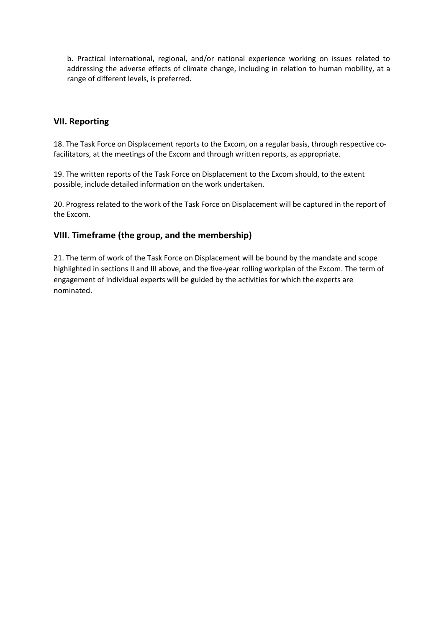b. Practical international, regional, and/or national experience working on issues related to addressing the adverse effects of climate change, including in relation to human mobility, at a range of different levels, is preferred.

## **VII. Reporting**

18. The Task Force on Displacement reports to the Excom, on a regular basis, through respective cofacilitators, at the meetings of the Excom and through written reports, as appropriate.

19. The written reports of the Task Force on Displacement to the Excom should, to the extent possible, include detailed information on the work undertaken.

20. Progress related to the work of the Task Force on Displacement will be captured in the report of the Excom.

### **VIII. Timeframe (the group, and the membership)**

21. The term of work of the Task Force on Displacement will be bound by the mandate and scope highlighted in sections II and III above, and the five-year rolling workplan of the Excom. The term of engagement of individual experts will be guided by the activities for which the experts are nominated.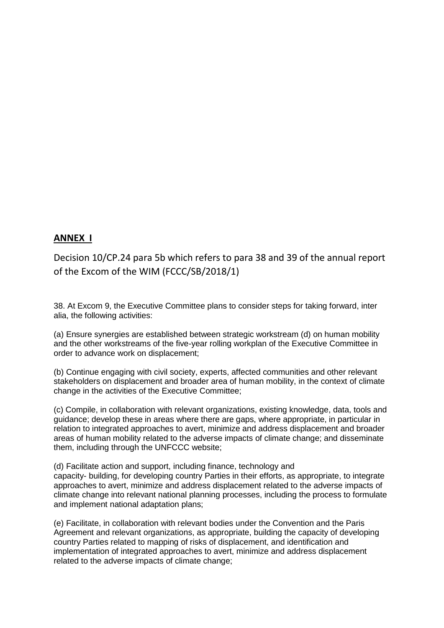# **ANNEX I**

Decision 10/CP.24 para 5b which refers to para 38 and 39 of the annual report of the Excom of the WIM (FCCC/SB/2018/1)

38. At Excom 9, the Executive Committee plans to consider steps for taking forward, inter alia, the following activities:

(a) Ensure synergies are established between strategic workstream (d) on human mobility and the other workstreams of the five-year rolling workplan of the Executive Committee in order to advance work on displacement;

(b) Continue engaging with civil society, experts, affected communities and other relevant stakeholders on displacement and broader area of human mobility, in the context of climate change in the activities of the Executive Committee;

(c) Compile, in collaboration with relevant organizations, existing knowledge, data, tools and guidance; develop these in areas where there are gaps, where appropriate, in particular in relation to integrated approaches to avert, minimize and address displacement and broader areas of human mobility related to the adverse impacts of climate change; and disseminate them, including through the UNFCCC website;

(d) Facilitate action and support, including finance, technology and capacity- building, for developing country Parties in their efforts, as appropriate, to integrate approaches to avert, minimize and address displacement related to the adverse impacts of climate change into relevant national planning processes, including the process to formulate and implement national adaptation plans;

(e) Facilitate, in collaboration with relevant bodies under the Convention and the Paris Agreement and relevant organizations, as appropriate, building the capacity of developing country Parties related to mapping of risks of displacement, and identification and implementation of integrated approaches to avert, minimize and address displacement related to the adverse impacts of climate change;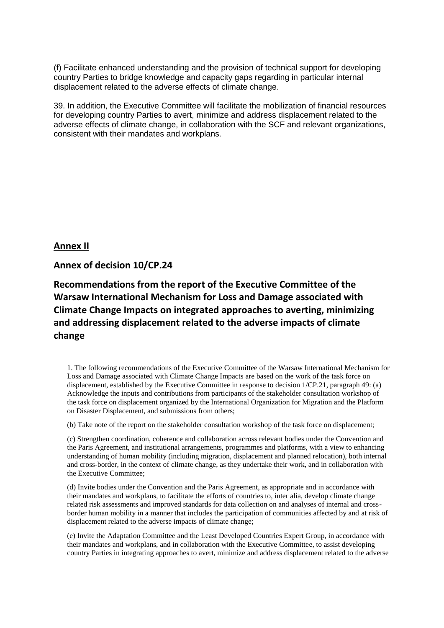(f) Facilitate enhanced understanding and the provision of technical support for developing country Parties to bridge knowledge and capacity gaps regarding in particular internal displacement related to the adverse effects of climate change.

39. In addition, the Executive Committee will facilitate the mobilization of financial resources for developing country Parties to avert, minimize and address displacement related to the adverse effects of climate change, in collaboration with the SCF and relevant organizations, consistent with their mandates and workplans.

**Annex II**

**Annex of decision 10/CP.24** 

**Recommendations from the report of the Executive Committee of the Warsaw International Mechanism for Loss and Damage associated with Climate Change Impacts on integrated approaches to averting, minimizing and addressing displacement related to the adverse impacts of climate change**

1. The following recommendations of the Executive Committee of the Warsaw International Mechanism for Loss and Damage associated with Climate Change Impacts are based on the work of the task force on displacement, established by the Executive Committee in response to decision 1/CP.21, paragraph 49: (a) Acknowledge the inputs and contributions from participants of the stakeholder consultation workshop of the task force on displacement organized by the International Organization for Migration and the Platform on Disaster Displacement, and submissions from others;

(b) Take note of the report on the stakeholder consultation workshop of the task force on displacement;

(c) Strengthen coordination, coherence and collaboration across relevant bodies under the Convention and the Paris Agreement, and institutional arrangements, programmes and platforms, with a view to enhancing understanding of human mobility (including migration, displacement and planned relocation), both internal and cross-border, in the context of climate change, as they undertake their work, and in collaboration with the Executive Committee;

(d) Invite bodies under the Convention and the Paris Agreement, as appropriate and in accordance with their mandates and workplans, to facilitate the efforts of countries to, inter alia, develop climate change related risk assessments and improved standards for data collection on and analyses of internal and crossborder human mobility in a manner that includes the participation of communities affected by and at risk of displacement related to the adverse impacts of climate change;

(e) Invite the Adaptation Committee and the Least Developed Countries Expert Group, in accordance with their mandates and workplans, and in collaboration with the Executive Committee, to assist developing country Parties in integrating approaches to avert, minimize and address displacement related to the adverse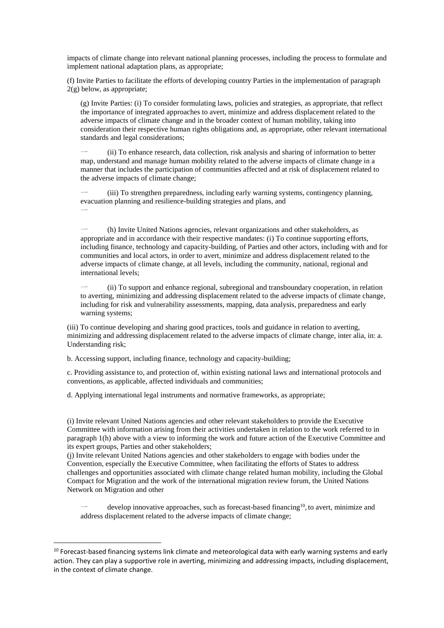impacts of climate change into relevant national planning processes, including the process to formulate and implement national adaptation plans, as appropriate;

(f) Invite Parties to facilitate the efforts of developing country Parties in the implementation of paragraph 2(g) below, as appropriate;

(g) Invite Parties: (i) To consider formulating laws, policies and strategies, as appropriate, that reflect the importance of integrated approaches to avert, minimize and address displacement related to the adverse impacts of climate change and in the broader context of human mobility, taking into consideration their respective human rights obligations and, as appropriate, other relevant international standards and legal considerations;

一 (ii) To enhance research, data collection, risk analysis and sharing of information to better map, understand and manage human mobility related to the adverse impacts of climate change in a manner that includes the participation of communities affected and at risk of displacement related to the adverse impacts of climate change;

一 (iii) To strengthen preparedness, including early warning systems, contingency planning, evacuation planning and resilience-building strategies and plans, and  $\overline{\phantom{0}}$ 

一 (h) Invite United Nations agencies, relevant organizations and other stakeholders, as appropriate and in accordance with their respective mandates: (i) To continue supporting efforts, including finance, technology and capacity-building, of Parties and other actors, including with and for communities and local actors, in order to avert, minimize and address displacement related to the adverse impacts of climate change, at all levels, including the community, national, regional and international levels;

一 (ii) To support and enhance regional, subregional and transboundary cooperation, in relation to averting, minimizing and addressing displacement related to the adverse impacts of climate change, including for risk and vulnerability assessments, mapping, data analysis, preparedness and early warning systems;

(iii) To continue developing and sharing good practices, tools and guidance in relation to averting, minimizing and addressing displacement related to the adverse impacts of climate change, inter alia, in: a. Understanding risk;

b. Accessing support, including finance, technology and capacity-building;

**.** 

c. Providing assistance to, and protection of, within existing national laws and international protocols and conventions, as applicable, affected individuals and communities;

d. Applying international legal instruments and normative frameworks, as appropriate;

(i) Invite relevant United Nations agencies and other relevant stakeholders to provide the Executive Committee with information arising from their activities undertaken in relation to the work referred to in paragraph 1(h) above with a view to informing the work and future action of the Executive Committee and its expert groups, Parties and other stakeholders;

(j) Invite relevant United Nations agencies and other stakeholders to engage with bodies under the Convention, especially the Executive Committee, when facilitating the efforts of States to address challenges and opportunities associated with climate change related human mobility, including the Global Compact for Migration and the work of the international migration review forum, the United Nations Network on Migration and other

 $\rightarrow$  develop innovative approaches, such as forecast-based financing<sup>10</sup>, to avert, minimize and address displacement related to the adverse impacts of climate change;

<sup>&</sup>lt;sup>10</sup> Forecast-based financing systems link climate and meteorological data with early warning systems and early action. They can play a supportive role in averting, minimizing and addressing impacts, including displacement, in the context of climate change.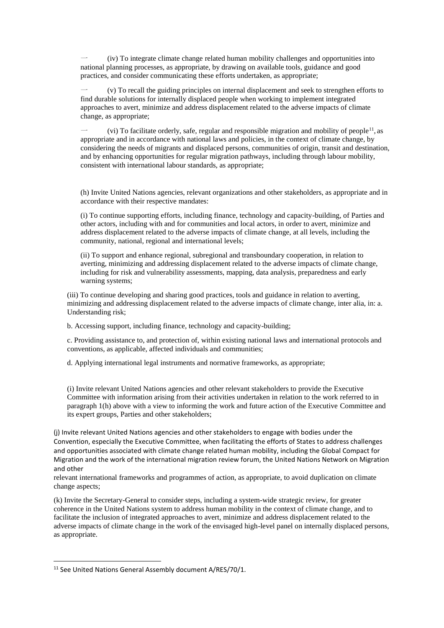一 (iv) To integrate climate change related human mobility challenges and opportunities into national planning processes, as appropriate, by drawing on available tools, guidance and good practices, and consider communicating these efforts undertaken, as appropriate;

一 (v) To recall the guiding principles on internal displacement and seek to strengthen efforts to find durable solutions for internally displaced people when working to implement integrated approaches to avert, minimize and address displacement related to the adverse impacts of climate change, as appropriate;

 $\rightarrow$  (vi) To facilitate orderly, safe, regular and responsible migration and mobility of people<sup>11</sup>, as appropriate and in accordance with national laws and policies, in the context of climate change, by considering the needs of migrants and displaced persons, communities of origin, transit and destination, and by enhancing opportunities for regular migration pathways, including through labour mobility, consistent with international labour standards, as appropriate;

(h) Invite United Nations agencies, relevant organizations and other stakeholders, as appropriate and in accordance with their respective mandates:

(i) To continue supporting efforts, including finance, technology and capacity-building, of Parties and other actors, including with and for communities and local actors, in order to avert, minimize and address displacement related to the adverse impacts of climate change, at all levels, including the community, national, regional and international levels;

(ii) To support and enhance regional, subregional and transboundary cooperation, in relation to averting, minimizing and addressing displacement related to the adverse impacts of climate change, including for risk and vulnerability assessments, mapping, data analysis, preparedness and early warning systems;

(iii) To continue developing and sharing good practices, tools and guidance in relation to averting, minimizing and addressing displacement related to the adverse impacts of climate change, inter alia, in: a. Understanding risk;

b. Accessing support, including finance, technology and capacity-building;

c. Providing assistance to, and protection of, within existing national laws and international protocols and conventions, as applicable, affected individuals and communities;

d. Applying international legal instruments and normative frameworks, as appropriate;

(i) Invite relevant United Nations agencies and other relevant stakeholders to provide the Executive Committee with information arising from their activities undertaken in relation to the work referred to in paragraph 1(h) above with a view to informing the work and future action of the Executive Committee and its expert groups, Parties and other stakeholders;

(j) Invite relevant United Nations agencies and other stakeholders to engage with bodies under the Convention, especially the Executive Committee, when facilitating the efforts of States to address challenges and opportunities associated with climate change related human mobility, including the Global Compact for Migration and the work of the international migration review forum, the United Nations Network on Migration and other

relevant international frameworks and programmes of action, as appropriate, to avoid duplication on climate change aspects;

(k) Invite the Secretary-General to consider steps, including a system-wide strategic review, for greater coherence in the United Nations system to address human mobility in the context of climate change, and to facilitate the inclusion of integrated approaches to avert, minimize and address displacement related to the adverse impacts of climate change in the work of the envisaged high-level panel on internally displaced persons, as appropriate.

**.** 

<sup>11</sup> See United Nations General Assembly document A/RES/70/1.